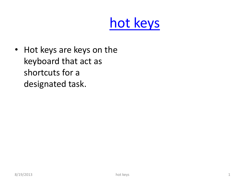## hot keys

• Hot keys are keys on the keyboard that act as shortcuts for a designated task.